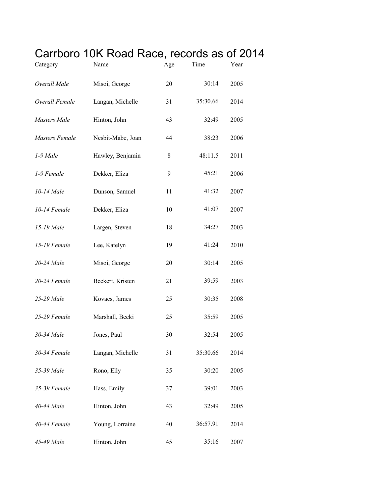## Carrboro 10K Road Race, records as of 2014

| Category              | Name              | Age | Time     | Year |
|-----------------------|-------------------|-----|----------|------|
| Overall Male          | Misoi, George     | 20  | 30:14    | 2005 |
| Overall Female        | Langan, Michelle  | 31  | 35:30.66 | 2014 |
| Masters Male          | Hinton, John      | 43  | 32:49    | 2005 |
| <b>Masters Female</b> | Nesbit-Mabe, Joan | 44  | 38:23    | 2006 |
| 1-9 Male              | Hawley, Benjamin  | 8   | 48:11.5  | 2011 |
| 1-9 Female            | Dekker, Eliza     | 9   | 45:21    | 2006 |
| 10-14 Male            | Dunson, Samuel    | 11  | 41:32    | 2007 |
| 10-14 Female          | Dekker, Eliza     | 10  | 41:07    | 2007 |
| 15-19 Male            | Largen, Steven    | 18  | 34:27    | 2003 |
| 15-19 Female          | Lee, Katelyn      | 19  | 41:24    | 2010 |
| 20-24 Male            | Misoi, George     | 20  | 30:14    | 2005 |
| 20-24 Female          | Beckert, Kristen  | 21  | 39:59    | 2003 |
| 25-29 Male            | Kovacs, James     | 25  | 30:35    | 2008 |
| 25-29 Female          | Marshall, Becki   | 25  | 35:59    | 2005 |
| 30-34 Male            | Jones, Paul       | 30  | 32:54    | 2005 |
| 30-34 Female          | Langan, Michelle  | 31  | 35:30.66 | 2014 |
| 35-39 Male            | Rono, Elly        | 35  | 30:20    | 2005 |
| 35-39 Female          | Hass, Emily       | 37  | 39:01    | 2003 |
| 40-44 Male            | Hinton, John      | 43  | 32:49    | 2005 |
| 40-44 Female          | Young, Lorraine   | 40  | 36:57.91 | 2014 |
| 45-49 Male            | Hinton, John      | 45  | 35:16    | 2007 |